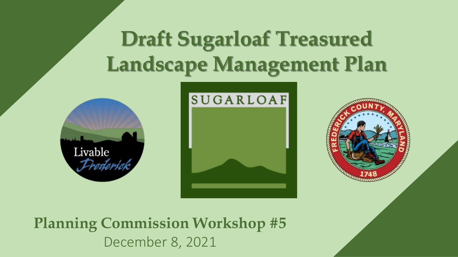# **Draft Sugarloaf Treasured Landscape Management Plan**







**Planning Commission Workshop #5**  December 8, 2021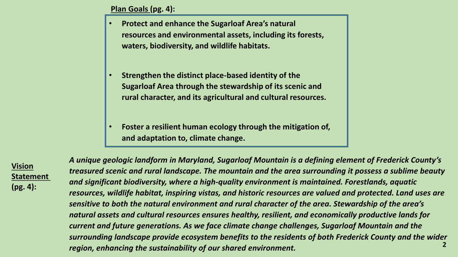#### **Plan Goals (pg. 4):**

- **Protect and enhance the Sugarloaf Area's natural resources and environmental assets, including its forests, waters, biodiversity, and wildlife habitats.**
- **Strengthen the distinct place-based identity of the Sugarloaf Area through the stewardship of its scenic and rural character, and its agricultural and cultural resources.**
- **Foster a resilient human ecology through the mitigation of, and adaptation to, climate change.**

**Vision Statement (pg. 4):** 

**2** *A unique geologic landform in Maryland, Sugarloaf Mountain is a defining element of Frederick County's treasured scenic and rural landscape. The mountain and the area surrounding it possess a sublime beauty and significant biodiversity, where a high-quality environment is maintained. Forestlands, aquatic resources, wildlife habitat, inspiring vistas, and historic resources are valued and protected. Land uses are sensitive to both the natural environment and rural character of the area. Stewardship of the area's natural assets and cultural resources ensures healthy, resilient, and economically productive lands for current and future generations. As we face climate change challenges, Sugarloaf Mountain and the surrounding landscape provide ecosystem benefits to the residents of both Frederick County and the wider region, enhancing the sustainability of our shared environment.*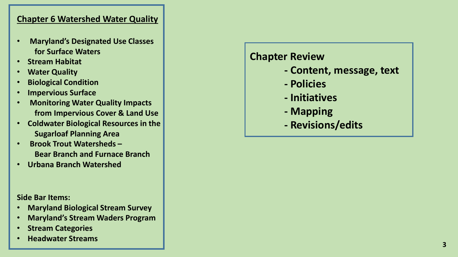- **Maryland's Designated Use Classes for Surface Waters**
- **Stream Habitat**
- **Water Quality**
- **Biological Condition**
- **Impervious Surface**
- **Monitoring Water Quality Impacts from Impervious Cover & Land Use**
- **Coldwater Biological Resources in the Sugarloaf Planning Area**
- **Brook Trout Watersheds – Bear Branch and Furnace Branch**
- **Urbana Branch Watershed**

**Side Bar Items:**

- **Maryland Biological Stream Survey**
- **Maryland's Stream Waders Program**
- **Stream Categories**
- **Headwater Streams**

# **Chapter Review**

- **- Content, message, text**
- **- Policies**
- **- Initiatives**
- **- Mapping**
- **- Revisions/edits**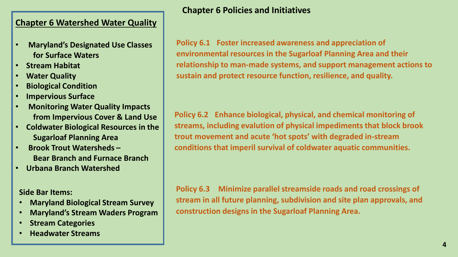- **Maryland's Designated Use Classes for Surface Waters**
- **Stream Habitat**
- **Water Quality**
- **Biological Condition**
- **Impervious Surface**
- **Monitoring Water Quality Impacts from Impervious Cover & Land Use**
- **Coldwater Biological Resources in the Sugarloaf Planning Area**
- **Brook Trout Watersheds – Bear Branch and Furnace Branch**
- **Urbana Branch Watershed**

**Side Bar Items:**

- **Maryland Biological Stream Survey**
- **Maryland's Stream Waders Program**
- **Stream Categories**
- **Headwater Streams**

# **Chapter 6 Policies and Initiatives**

**Policy 6.1 Foster increased awareness and appreciation of environmental resources in the Sugarloaf Planning Area and their relationship to man-made systems, and support management actions to sustain and protect resource function, resilience, and quality.**

**Policy 6.2 Enhance biological, physical, and chemical monitoring of streams, including evalution of physical impediments that block brook trout movement and acute 'hot spots' with degraded in-stream conditions that imperil survival of coldwater aquatic communities.**

**Policy 6.3 Minimize parallel streamside roads and road crossings of stream in all future planning, subdivision and site plan approvals, and construction designs in the Sugarloaf Planning Area.**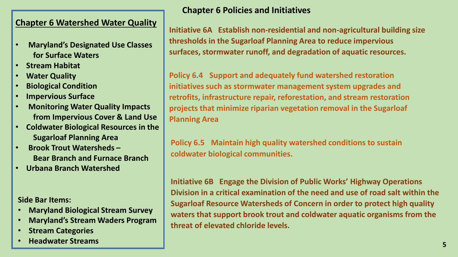- **Maryland's Designated Use Classes for Surface Waters**
- **Stream Habitat**
- **Water Quality**
- **Biological Condition**
- **Impervious Surface**
- **Monitoring Water Quality Impacts from Impervious Cover & Land Use**
- **Coldwater Biological Resources in the Sugarloaf Planning Area**
- **Brook Trout Watersheds – Bear Branch and Furnace Branch**
- **Urbana Branch Watershed**

**Side Bar Items:**

- **Maryland Biological Stream Survey**
- **Maryland's Stream Waders Program**
- **Stream Categories**
- **Headwater Streams**

# **Chapter 6 Policies and Initiatives**

**Initiative 6A Establish non-residential and non-agricultural building size thresholds in the Sugarloaf Planning Area to reduce impervious surfaces, stormwater runoff, and degradation of aquatic resources.**

**Policy 6.4 Support and adequately fund watershed restoration initiatives such as stormwater management system upgrades and retrofits, infrastructure repair, reforestation, and stream restoration projects that minimize riparian vegetation removal in the Sugarloaf Planning Area**

**Policy 6.5 Maintain high quality watershed conditions to sustain coldwater biological communities.**

**Initiative 6B Engage the Division of Public Works' Highway Operations Division in a critical examination of the need and use of road salt within the Sugarloaf Resource Watersheds of Concern in order to protect high quality waters that support brook trout and coldwater aquatic organisms from the threat of elevated chloride levels.**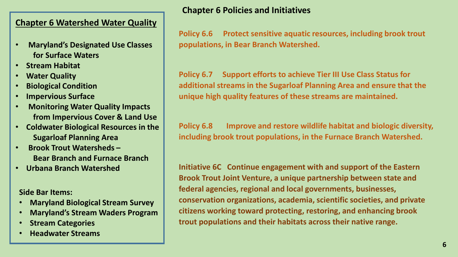- **Maryland's Designated Use Classes for Surface Waters**
- **Stream Habitat**
- **Water Quality**
- **Biological Condition**
- **Impervious Surface**
- **Monitoring Water Quality Impacts from Impervious Cover & Land Use**
- **Coldwater Biological Resources in the Sugarloaf Planning Area**
- **Brook Trout Watersheds – Bear Branch and Furnace Branch**
- **Urbana Branch Watershed**

**Side Bar Items:**

- **Maryland Biological Stream Survey**
- **Maryland's Stream Waders Program**
- **Stream Categories**
- **Headwater Streams**

# **Chapter 6 Policies and Initiatives**

**Policy 6.6 Protect sensitive aquatic resources, including brook trout populations, in Bear Branch Watershed.**

**Policy 6.7 Support efforts to achieve Tier III Use Class Status for additional streams in the Sugarloaf Planning Area and ensure that the unique high quality features of these streams are maintained.**

**Policy 6.8 Improve and restore wildlife habitat and biologic diversity, including brook trout populations, in the Furnace Branch Watershed.**

**Initiative 6C Continue engagement with and support of the Eastern Brook Trout Joint Venture, a unique partnership between state and federal agencies, regional and local governments, businesses, conservation organizations, academia, scientific societies, and private citizens working toward protecting, restoring, and enhancing brook trout populations and their habitats across their native range.**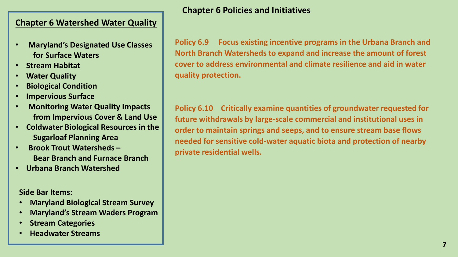- **Maryland's Designated Use Classes for Surface Waters**
- **Stream Habitat**
- **Water Quality**
- **Biological Condition**
- **Impervious Surface**
- **Monitoring Water Quality Impacts from Impervious Cover & Land Use**
- **Coldwater Biological Resources in the Sugarloaf Planning Area**
- **Brook Trout Watersheds – Bear Branch and Furnace Branch**
- **Urbana Branch Watershed**

**Side Bar Items:**

- **Maryland Biological Stream Survey**
- **Maryland's Stream Waders Program**
- **Stream Categories**
- **Headwater Streams**

# **Chapter 6 Policies and Initiatives**

**Policy 6.9 Focus existing incentive programs in the Urbana Branch and North Branch Watersheds to expand and increase the amount of forest cover to address environmental and climate resilience and aid in water quality protection.**

**Policy 6.10 Critically examine quantities of groundwater requested for future withdrawals by large-scale commercial and institutional uses in order to maintain springs and seeps, and to ensure stream base flows needed for sensitive cold-water aquatic biota and protection of nearby private residential wells.**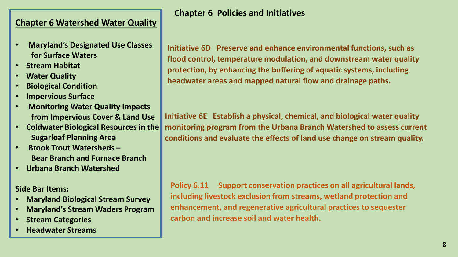- **Maryland's Designated Use Classes for Surface Waters**
- **Stream Habitat**
- **Water Quality**
- **Biological Condition**
- **Impervious Surface**
- **Monitoring Water Quality Impacts from Impervious Cover & Land Use**
- **Coldwater Biological Resources in the Sugarloaf Planning Area**
- **Brook Trout Watersheds – Bear Branch and Furnace Branch**
- **Urbana Branch Watershed**

**Side Bar Items:**

- **Maryland Biological Stream Survey**
- **Maryland's Stream Waders Program**
- **Stream Categories**
- **Headwater Streams**

# **Chapter 6 Policies and Initiatives**

**Initiative 6D Preserve and enhance environmental functions, such as flood control, temperature modulation, and downstream water quality protection, by enhancing the buffering of aquatic systems, including headwater areas and mapped natural flow and drainage paths.**

**Initiative 6E Establish a physical, chemical, and biological water quality monitoring program from the Urbana Branch Watershed to assess current conditions and evaluate the effects of land use change on stream quality.**

**Policy 6.11 Support conservation practices on all agricultural lands, including livestock exclusion from streams, wetland protection and enhancement, and regenerative agricultural practices to sequester carbon and increase soil and water health.**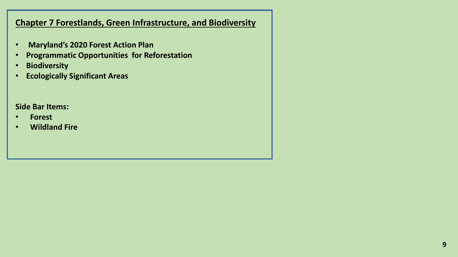- **Maryland's 2020 Forest Action Plan**
- **Programmatic Opportunities for Reforestation**
- **Biodiversity**
- **Ecologically Significant Areas**

## **Side Bar Items:**

- **Forest**
- **Wildland Fire**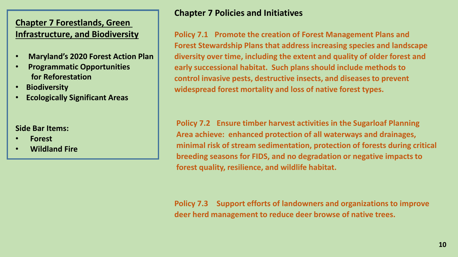- **Maryland's 2020 Forest Action Plan**
- **Programmatic Opportunities for Reforestation**
- **Biodiversity**
- **Ecologically Significant Areas**

#### **Side Bar Items:**

- **Forest**
- **Wildland Fire**

# **Chapter 7 Policies and Initiatives**

**Policy 7.1 Promote the creation of Forest Management Plans and Forest Stewardship Plans that address increasing species and landscape diversity over time, including the extent and quality of older forest and early successional habitat. Such plans should include methods to control invasive pests, destructive insects, and diseases to prevent widespread forest mortality and loss of native forest types.**

**Policy 7.2 Ensure timber harvest activities in the Sugarloaf Planning Area achieve: enhanced protection of all waterways and drainages, minimal risk of stream sedimentation, protection of forests during critical breeding seasons for FIDS, and no degradation or negative impacts to forest quality, resilience, and wildlife habitat.**

**Policy 7.3 Support efforts of landowners and organizations to improve deer herd management to reduce deer browse of native trees.**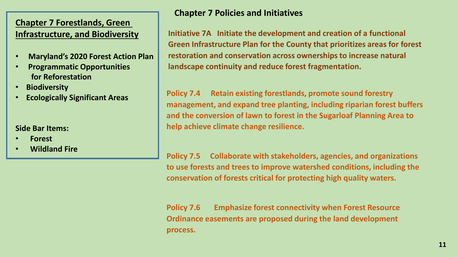- **Maryland's 2020 Forest Action Plan**
- **Programmatic Opportunities for Reforestation**
- **Biodiversity**
- **Ecologically Significant Areas**

**Side Bar Items:**

- **Forest**
- **Wildland Fire**

**Chapter 7 Policies and Initiatives**

**Initiative 7A Initiate the development and creation of a functional Green Infrastructure Plan for the County that prioritizes areas for forest restoration and conservation across ownerships to increase natural landscape continuity and reduce forest fragmentation.**

**Policy 7.4 Retain existing forestlands, promote sound forestry management, and expand tree planting, including riparian forest buffers and the conversion of lawn to forest in the Sugarloaf Planning Area to help achieve climate change resilience.**

**Policy 7.5 Collaborate with stakeholders, agencies, and organizations to use forests and trees to improve watershed conditions, including the conservation of forests critical for protecting high quality waters.**

**Policy 7.6 Emphasize forest connectivity when Forest Resource Ordinance easements are proposed during the land development process.**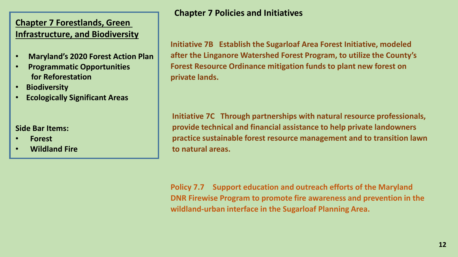- **Maryland's 2020 Forest Action Plan**
- **Programmatic Opportunities for Reforestation**
- **Biodiversity**
- **Ecologically Significant Areas**

#### **Side Bar Items:**

- **Forest**
- **Wildland Fire**

# **Chapter 7 Policies and Initiatives**

**Initiative 7B Establish the Sugarloaf Area Forest Initiative, modeled after the Linganore Watershed Forest Program, to utilize the County's Forest Resource Ordinance mitigation funds to plant new forest on private lands.**

**Initiative 7C Through partnerships with natural resource professionals, provide technical and financial assistance to help private landowners practice sustainable forest resource management and to transition lawn to natural areas.**

**Policy 7.7 Support education and outreach efforts of the Maryland DNR Firewise Program to promote fire awareness and prevention in the wildland-urban interface in the Sugarloaf Planning Area.**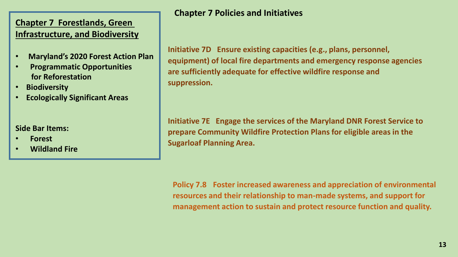- **Maryland's 2020 Forest Action Plan**
- **Programmatic Opportunities for Reforestation**
- **Biodiversity**
- **Ecologically Significant Areas**

**Side Bar Items:**

- **Forest**
- **Wildland Fire**

**Chapter 7 Policies and Initiatives**

**Initiative 7D Ensure existing capacities (e.g., plans, personnel, equipment) of local fire departments and emergency response agencies are sufficiently adequate for effective wildfire response and suppression.**

**Initiative 7E Engage the services of the Maryland DNR Forest Service to prepare Community Wildfire Protection Plans for eligible areas in the Sugarloaf Planning Area.**

**Policy 7.8 Foster increased awareness and appreciation of environmental resources and their relationship to man-made systems, and support for management action to sustain and protect resource function and quality.**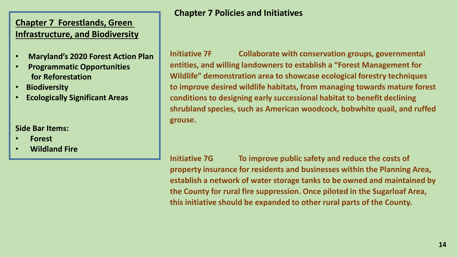- **Maryland's 2020 Forest Action Plan**
- **Programmatic Opportunities for Reforestation**
- **Biodiversity**
- **Ecologically Significant Areas**

#### **Side Bar Items:**

- **Forest**
- **Wildland Fire**

**Chapter 7 Policies and Initiatives**

**Initiative 7F Collaborate with conservation groups, governmental entities, and willing landowners to establish a "Forest Management for Wildlife" demonstration area to showcase ecological forestry techniques to improve desired wildlife habitats, from managing towards mature forest conditions to designing early successional habitat to benefit declining shrubland species, such as American woodcock, bobwhite quail, and ruffed grouse.**

**Initiative 7G To improve public safety and reduce the costs of property insurance for residents and businesses within the Planning Area, establish a network of water storage tanks to be owned and maintained by the County for rural fire suppression. Once piloted in the Sugarloaf Area, this initiative should be expanded to other rural parts of the County.**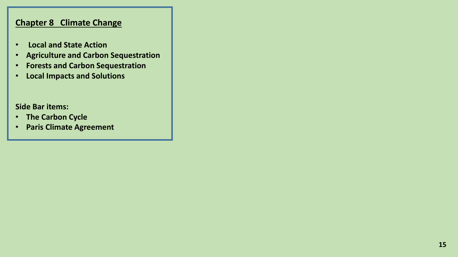- **Local and State Action**
- **Agriculture and Carbon Sequestration**
- **Forests and Carbon Sequestration**
- **Local Impacts and Solutions**

**Side Bar items:**

- **The Carbon Cycle**
- **Paris Climate Agreement**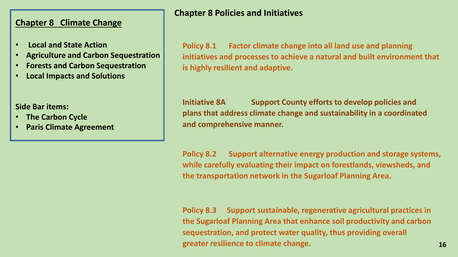- **Local and State Action**
- **Agriculture and Carbon Sequestration**
- **Forests and Carbon Sequestration**
- **Local Impacts and Solutions**

**Side Bar items:**

- **The Carbon Cycle**
- **Paris Climate Agreement**

# **Chapter 8 Policies and Initiatives**

**Policy 8.1 Factor climate change into all land use and planning initiatives and processes to achieve a natural and built environment that is highly resilient and adaptive.**

**Initiative 8A Support County efforts to develop policies and plans that address climate change and sustainability in a coordinated and comprehensive manner.**

**Policy 8.2 Support alternative energy production and storage systems, while carefully evaluating their impact on forestlands, viewsheds, and the transportation network in the Sugarloaf Planning Area.**

**Policy 8.3 Support sustainable, regenerative agricultural practices in the Sugarloaf Planning Area that enhance soil productivity and carbon sequestration, and protect water quality, thus providing overall greater resilience to climate change.**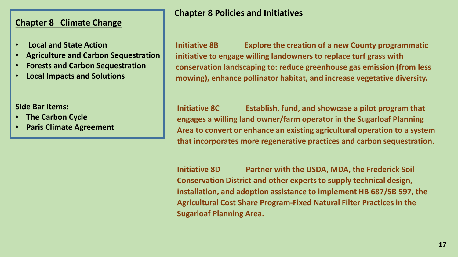- **Local and State Action**
- **Agriculture and Carbon Sequestration**
- **Forests and Carbon Sequestration**
- **Local Impacts and Solutions**

**Side Bar items:**

- **The Carbon Cycle**
- **Paris Climate Agreement**

# **Chapter 8 Policies and Initiatives**

**Initiative 8B Explore the creation of a new County programmatic initiative to engage willing landowners to replace turf grass with conservation landscaping to: reduce greenhouse gas emission (from less mowing), enhance pollinator habitat, and increase vegetative diversity.**

**Initiative 8C Establish, fund, and showcase a pilot program that engages a willing land owner/farm operator in the Sugarloaf Planning Area to convert or enhance an existing agricultural operation to a system that incorporates more regenerative practices and carbon sequestration.**

**Initiative 8D Partner with the USDA, MDA, the Frederick Soil Conservation District and other experts to supply technical design, installation, and adoption assistance to implement HB 687/SB 597, the Agricultural Cost Share Program-Fixed Natural Filter Practices in the Sugarloaf Planning Area.**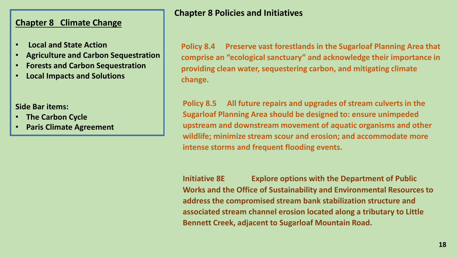- **Local and State Action**
- **Agriculture and Carbon Sequestration**
- **Forests and Carbon Sequestration**
- **Local Impacts and Solutions**

**Side Bar items:**

- **The Carbon Cycle**
- **Paris Climate Agreement**

## **Chapter 8 Policies and Initiatives**

**Policy 8.4 Preserve vast forestlands in the Sugarloaf Planning Area that comprise an "ecological sanctuary" and acknowledge their importance in providing clean water, sequestering carbon, and mitigating climate change.**

**Policy 8.5 All future repairs and upgrades of stream culverts in the Sugarloaf Planning Area should be designed to: ensure unimpeded upstream and downstream movement of aquatic organisms and other wildlife; minimize stream scour and erosion; and accommodate more intense storms and frequent flooding events.**

**Initiative 8E Explore options with the Department of Public Works and the Office of Sustainability and Environmental Resources to address the compromised stream bank stabilization structure and associated stream channel erosion located along a tributary to Little Bennett Creek, adjacent to Sugarloaf Mountain Road.**